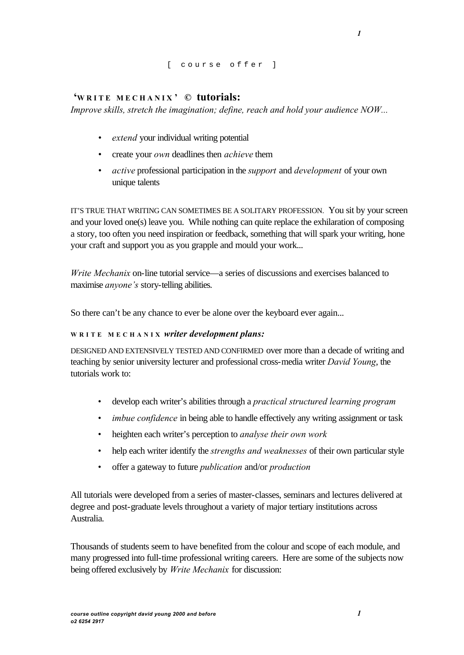## [ course offer ]

## **'WRITE MECHANIX ' © tutorials:**

*Improve skills, stretch the imagination; define, reach and hold your audience NOW...*

- *• extend* your individual writing potential
- *•* create your *own* deadlines then *achieve* them
- *• active* professional participation in the *support* and *development* of your own unique talents

IT'S TRUE THAT WRITING CAN SOMETIMES BE A SOLITARY PROFESSION. You sit by your screen and your loved one(s) leave you. While nothing can quite replace the exhilaration of composing a story, too often you need inspiration or feedback, something that will spark your writing, hone your craft and support you as you grapple and mould your work...

*Write Mechanix* on-line tutorial service—a series of discussions and exercises balanced to maximise *anyone's* story-telling abilities.

So there can't be any chance to ever be alone over the keyboard ever again...

## **WRITE MECHANIX** *writer development plans:*

DESIGNED AND EXTENSIVELY TESTED AND CONFIRMED over more than a decade of writing and teaching by senior university lecturer and professional cross-media writer *David Young*, the tutorials work to:

- develop each writer's abilities through a *practical structured learning program*
- *imbue confidence* in being able to handle effectively any writing assignment or task
- heighten each writer's perception to *analyse their own work*
- help each writer identify the *strengths and weaknesses* of their own particular style
- offer a gateway to future *publication* and/or *production*

All tutorials were developed from a series of master-classes, seminars and lectures delivered at degree and post-graduate levels throughout a variety of major tertiary institutions across Australia.

Thousands of students seem to have benefited from the colour and scope of each module, and many progressed into full-time professional writing careers. Here are some of the subjects now being offered exclusively by *Write Mechanix* for discussion:

*1*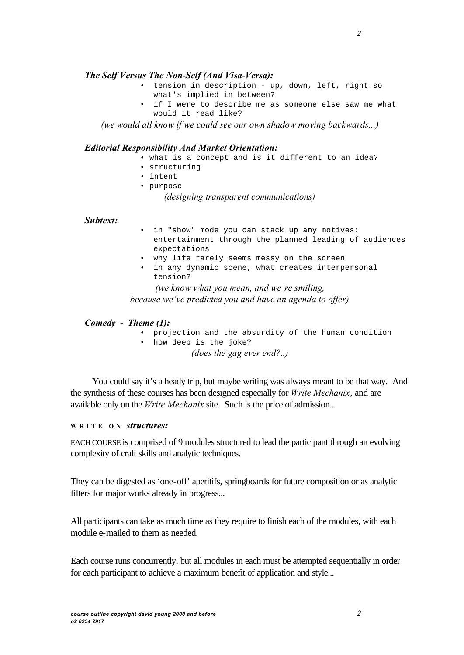## *The Self Versus The Non-Self (And Visa-Versa):*

- tension in description up, down, left, right so what's implied in between?
- if I were to describe me as someone else saw me what would it read like?

*(we would all know if we could see our own shadow moving backwards...)*

#### *Editorial Responsibility And Market Orientation:*

- what is a concept and is it different to an idea?
- structuring
- intent
- purpose

*(designing transparent communications)*

### *Subtext:*

- in "show" mode you can stack up any motives: entertainment through the planned leading of audiences expectations
- why life rarely seems messy on the screen
- in any dynamic scene, what creates interpersonal tension?

*(we know what you mean, and we're smiling,* 

*because we've predicted you and have an agenda to offer)*

#### *Comedy - Theme (1):*

- projection and the absurdity of the human condition
- how deep is the joke?

*(does the gag ever end?..)*

You could say it's a heady trip, but maybe writing was always meant to be that way. And the synthesis of these courses has been designed especially for *Write Mechanix*, and are available only on the *Write Mechanix* site. Such is the price of admission...

### **WRITE ON** *structures:*

EACH COURSE is comprised of 9 modules structured to lead the participant through an evolving complexity of craft skills and analytic techniques.

They can be digested as 'one-off' aperitifs, springboards for future composition or as analytic filters for major works already in progress...

All participants can take as much time as they require to finish each of the modules, with each module e-mailed to them as needed.

Each course runs concurrently, but all modules in each must be attempted sequentially in order for each participant to achieve a maximum benefit of application and style...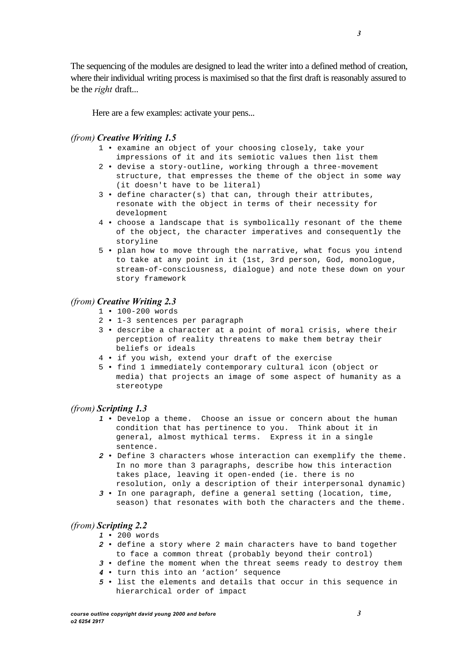The sequencing of the modules are designed to lead the writer into a defined method of creation, where their individual writing process is maximised so that the first draft is reasonably assured to be the *right* draft...

Here are a few examples: activate your pens...

### *(from) Creative Writing 1.5*

- 1 examine an object of your choosing closely, take your impressions of it and its semiotic values then list them
- 2 devise a story-outline, working through a three-movement structure, that empresses the theme of the object in some way (it doesn't have to be literal)
- 3 define character(s) that can, through their attributes, resonate with the object in terms of their necessity for development
- 4 choose a landscape that is symbolically resonant of the theme of the object, the character imperatives and consequently the storyline
- 5 plan how to move through the narrative, what focus you intend to take at any point in it (1st, 3rd person, God, monologue, stream-of-consciousness, dialogue) and note these down on your story framework

## *(from) Creative Writing 2.3*

- 1 100-200 words
- 2 1-3 sentences per paragraph
- 3 describe a character at a point of moral crisis, where their perception of reality threatens to make them betray their beliefs or ideals
- 4 if you wish, extend your draft of the exercise
- 5 find 1 immediately contemporary cultural icon (object or media) that projects an image of some aspect of humanity as a stereotype

#### *(from) Scripting 1.3*

- *1* Develop a theme. Choose an issue or concern about the human condition that has pertinence to you. Think about it in general, almost mythical terms. Express it in a single sentence.
- *2* Define 3 characters whose interaction can exemplify the theme. In no more than 3 paragraphs, describe how this interaction takes place, leaving it open-ended (ie. there is no resolution, only a description of their interpersonal dynamic)
- *3* In one paragraph, define a general setting (location, time, season) that resonates with both the characters and the theme.

#### *(from) Scripting 2.2*

- *1* 200 words
- *2* define a story where 2 main characters have to band together to face a common threat (probably beyond their control)
- *3* define the moment when the threat seems ready to destroy them
- *4* turn this into an 'action' sequence
- *5* list the elements and details that occur in this sequence in hierarchical order of impact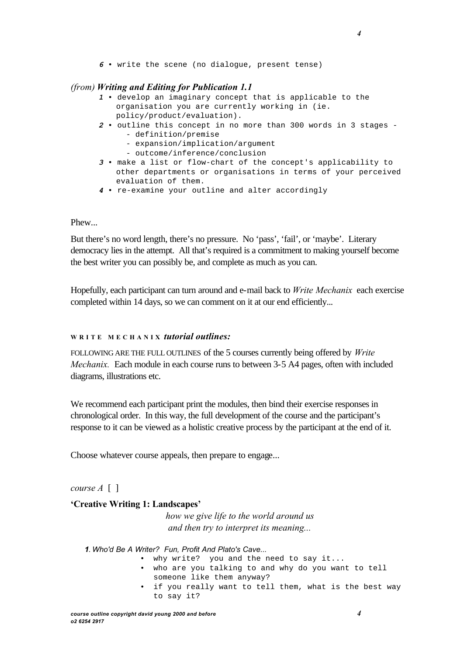*6* • write the scene (no dialogue, present tense)

## *(from) Writing and Editing for Publication 1.1*

- *1* develop an imaginary concept that is applicable to the organisation you are currently working in (ie. policy/product/evaluation).
- *2* outline this concept in no more than 300 words in 3 stages - definition/premise
	- expansion/implication/argument
	- outcome/inference/conclusion
- *3* make a list or flow-chart of the concept's applicability to other departments or organisations in terms of your perceived evaluation of them.
- *4* re-examine your outline and alter accordingly

### Phew...

But there's no word length, there's no pressure. No 'pass', 'fail', or 'maybe'. Literary democracy lies in the attempt. All that's required is a commitment to making yourself become the best writer you can possibly be, and complete as much as you can.

Hopefully, each participant can turn around and e-mail back to *Write Mechanix* each exercise completed within 14 days, so we can comment on it at our end efficiently...

## **WRITE MECHANIX** *tutorial outlines:*

FOLLOWING ARE THE FULL OUTLINES of the 5 courses currently being offered by *Write Mechanix.* Each module in each course runs to between 3-5 A4 pages, often with included diagrams, illustrations etc.

We recommend each participant print the modules, then bind their exercise responses in chronological order. In this way, the full development of the course and the participant's response to it can be viewed as a holistic creative process by the participant at the end of it.

Choose whatever course appeals, then prepare to engage...

*course A* [ ]

## **'Creative Writing 1: Landscapes'**

*how we give life to the world around us and then try to interpret its meaning...*

*1. Who'd Be A Writer? Fun, Profit And Plato's Cave...*

- why write? you and the need to say it...
- who are you talking to and why do you want to tell someone like them anyway?
- if you really want to tell them, what is the best way to say it?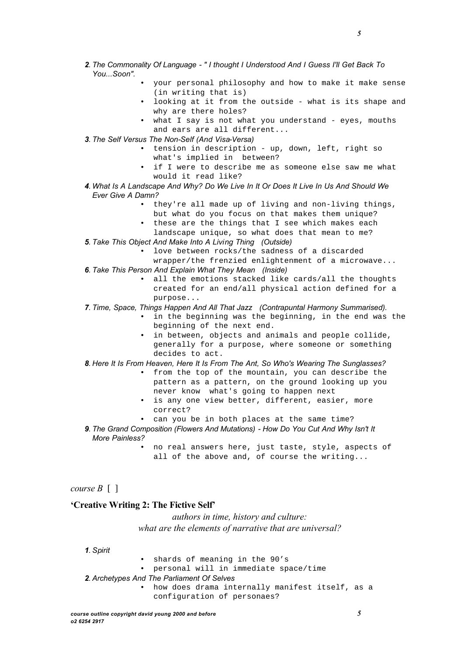• your personal philosophy and how to make it make sense (in writing that is)

*5*

- looking at it from the outside what is its shape and why are there holes?
- what I say is not what you understand eyes, mouths and ears are all different...
- *3. The Self Versus The Non-Self (And Visa-Versa)*
	- tension in description up, down, left, right so what's implied in between?
	- if I were to describe me as someone else saw me what would it read like?
- *4. What Is A Landscape And Why? Do We Live In It Or Does It Live In Us And Should We Ever Give A Damn?*
	- they're all made up of living and non-living things, but what do you focus on that makes them unique?
	- these are the things that I see which makes each
	- landscape unique, so what does that mean to me?
- *5. Take This Object And Make Into A Living Thing (Outside)*
	- love between rocks/the sadness of a discarded wrapper/the frenzied enlightenment of a microwave...
- *6. Take This Person And Explain What They Mean (Inside)*
	- all the emotions stacked like cards/all the thoughts created for an end/all physical action defined for a purpose...
- *7. Time, Space, Things Happen And All That Jazz (Contrapuntal Harmony Summarised).*
	- in the beginning was the beginning, in the end was the beginning of the next end.
	- in between, objects and animals and people collide, generally for a purpose, where someone or something decides to act.

*8. Here It Is From Heaven, Here It Is From The Ant, So Who's Wearing The Sunglasses?*

- from the top of the mountain, you can describe the pattern as a pattern, on the ground looking up you never know what's going to happen next
- is any one view better, different, easier, more correct?
- can you be in both places at the same time?
- **9**. The Grand Composition (Flowers And Mutations) How Do You Cut And Why Isn't It *More Painless?*
	- no real answers here, just taste, style, aspects of all of the above and, of course the writing...
- *course B* [ ]

## **'Creative Writing 2: The Fictive Self'**

*authors in time, history and culture: what are the elements of narrative that are universal?*

*1. Spirit*

- shards of meaning in the 90's
- personal will in immediate space/time
- *2. Archetypes And The Parliament Of Selves*
	- how does drama internally manifest itself, as a configuration of personaes?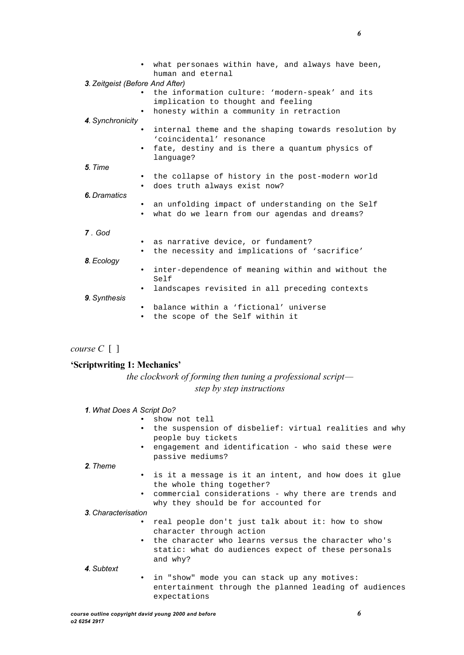|                                                                           | • what personaes within have, and always have been,<br>human and eternal                                                                         |  |  |  |  |  |
|---------------------------------------------------------------------------|--------------------------------------------------------------------------------------------------------------------------------------------------|--|--|--|--|--|
| 3. Zeitgeist (Before And After)                                           | the information culture: 'modern-speak' and its<br>implication to thought and feeling                                                            |  |  |  |  |  |
| honesty within a community in retraction<br>$\bullet$<br>4. Synchronicity |                                                                                                                                                  |  |  |  |  |  |
| $\bullet$                                                                 | internal theme and the shaping towards resolution by<br>'coincidental' resonance<br>fate, destiny and is there a quantum physics of<br>language? |  |  |  |  |  |
| 5. Time                                                                   |                                                                                                                                                  |  |  |  |  |  |
| $\bullet$                                                                 | • the collapse of history in the post-modern world<br>does truth always exist now?                                                               |  |  |  |  |  |
| <b>6.</b> Dramatics<br>$\bullet$                                          | an unfolding impact of understanding on the Self<br>what do we learn from our agendas and dreams?<br>$\bullet$                                   |  |  |  |  |  |
| 7. God                                                                    |                                                                                                                                                  |  |  |  |  |  |
| $\bullet$                                                                 | as narrative device, or fundament?<br>the necessity and implications of 'sacrifice'                                                              |  |  |  |  |  |
| 8. Ecology<br>$\bullet$                                                   | inter-dependence of meaning within and without the                                                                                               |  |  |  |  |  |
| $\bullet$<br>9. Synthesis                                                 | Self<br>landscapes revisited in all preceding contexts                                                                                           |  |  |  |  |  |
| $\bullet$<br>$\bullet$                                                    | balance within a 'fictional' universe<br>the scope of the Self within it                                                                         |  |  |  |  |  |

*course C* [ ]

#### **'Scriptwriting 1: Mechanics'**

*the clockwork of forming then tuning a professional script step by step instructions*

|  |  |  |  |  | 1. What Does A Script Do? |  |
|--|--|--|--|--|---------------------------|--|
|--|--|--|--|--|---------------------------|--|

- show not tell
	- the suspension of disbelief: virtual realities and why people buy tickets
	- engagement and identification who said these were passive mediums?

#### *2. Theme*

- is it a message is it an intent, and how does it glue the whole thing together?
- commercial considerations why there are trends and why they should be for accounted for

#### *3. Characterisation*

- real people don't just talk about it: how to show character through action
- the character who learns versus the character who's static: what do audiences expect of these personals and why?
- *4. Subtext* • in "show" mode you can stack up any motives: entertainment through the planned leading of audiences expectations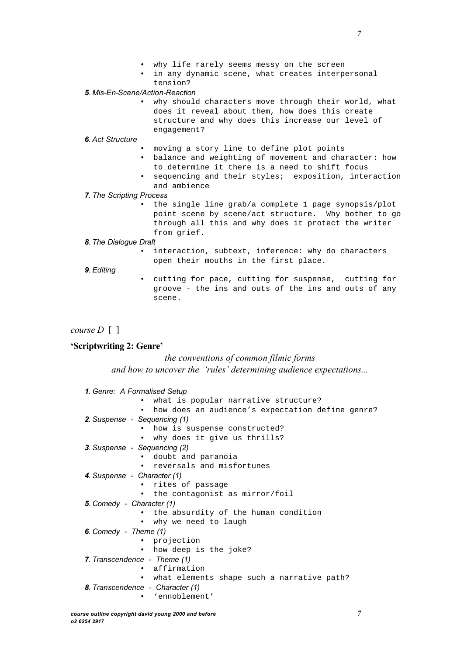- why life rarely seems messy on the screen
- in any dynamic scene, what creates interpersonal tension?

#### *5. Mis-En-Scene/Action-Reaction*

• why should characters move through their world, what does it reveal about them, how does this create structure and why does this increase our level of engagement?

#### *6. Act Structure*

- moving a story line to define plot points
- balance and weighting of movement and character: how to determine it there is a need to shift focus
- sequencing and their styles; exposition, interaction and ambience

#### *7. The Scripting Process*

• the single line grab/a complete 1 page synopsis/plot point scene by scene/act structure. Why bother to go through all this and why does it protect the writer from grief.

#### *8. The Dialogue Draft*

interaction, subtext, inference: why do characters open their mouths in the first place.

#### *9. Editing*

• cutting for pace, cutting for suspense, cutting for groove - the ins and outs of the ins and outs of any scene.

*course D* [ ]

#### **'Scriptwriting 2: Genre'**

### *the conventions of common filmic forms*

*and how to uncover the 'rules' determining audience expectations...*

```
1. Genre: A Formalised Setup
             • what is popular narrative structure?
             • how does an audience's expectation define genre?
2. Suspense - Sequencing (1)
             • how is suspense constructed?
             • why does it give us thrills?
3. Suspense - Sequencing (2)
             • doubt and paranoia
             • reversals and misfortunes
4. Suspense - Character (1)
             • rites of passage
               the contagonist as mirror/foil
5. Comedy - Character (1)
               the absurdity of the human condition
             • why we need to laugh
6. Comedy - Theme (1)
             • projection
             • how deep is the joke?
7. Transcendence - Theme (1)
             • affirmation
             • what elements shape such a narrative path?
8. Transcendence - Character (1)
              • 'ennoblement'
```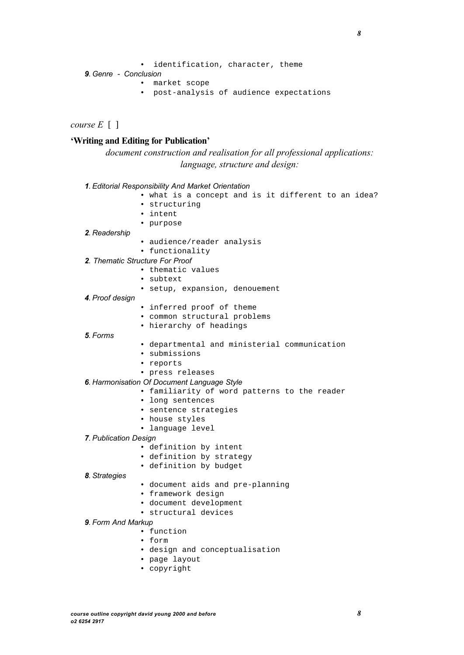• identification, character, theme

```
9. Genre - Conclusion
```
- market scope
- post-analysis of audience expectations

*course E* [ ]

# **'Writing and Editing for Publication'**

*document construction and realisation for all professional applications: language, structure and design:*

| 1. Editorial Responsibility And Market Orientation  |
|-----------------------------------------------------|
| • what is a concept and is it different to an idea? |
| • structuring                                       |
| • intent                                            |
| • purpose                                           |
| 2. Readership                                       |
| · audience/reader analysis                          |
| • functionality                                     |
| 2. Thematic Structure For Proof                     |
| • thematic values                                   |
| • subtext                                           |
| · setup, expansion, denouement                      |
| 4. Proof design                                     |
| • inferred proof of theme                           |
| • common structural problems                        |
| • hierarchy of headings                             |
| 5. Forms                                            |
| · departmental and ministerial communication        |
| · submissions                                       |
| • reports                                           |
| · press releases                                    |
| 6. Harmonisation Of Document Language Style         |
| · familiarity of word patterns to the reader        |
| • long sentences                                    |
| • sentence strategies                               |
| • house styles                                      |
| • language level                                    |
| 7. Publication Design                               |
| · definition by intent                              |
| · definition by strategy                            |
| · definition by budget                              |
| 8. Strategies                                       |
| · document aids and pre-planning                    |
| • framework design                                  |
| · document development                              |
| • structural devices                                |
| 9. Form And Markup                                  |
| • function                                          |
| • form                                              |
| · design and conceptualisation                      |
| · page layout                                       |
| • copyright                                         |